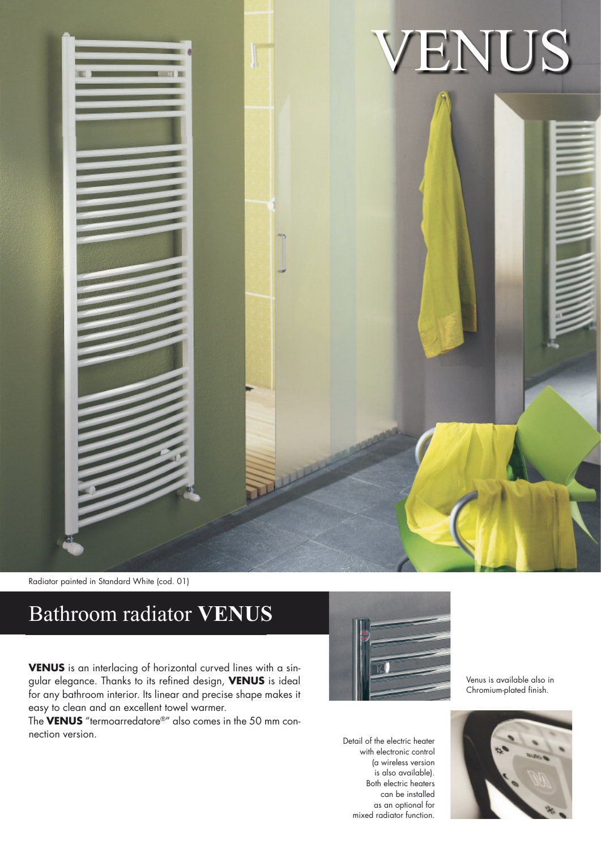

Radiator painted in Standard White (cod. 01)

## Bathroom radiator **VENUS**

**VENUS** is an interlacing of horizontal curved lines with a singular elegance. Thanks to its refined design, **VENUS** is ideal for any bathroom interior. Its linear and precise shape makes it easy to clean and an excellent towel warmer.

The **VENUS** "termoarredatore®" also comes in the 50 mm connection version.



Detail of the electric heater with electronic control (a wireless version is also available). Both electric heaters can be installed as an optional for mixed radiator function.

Venus is available also in Chromium-plated finish.